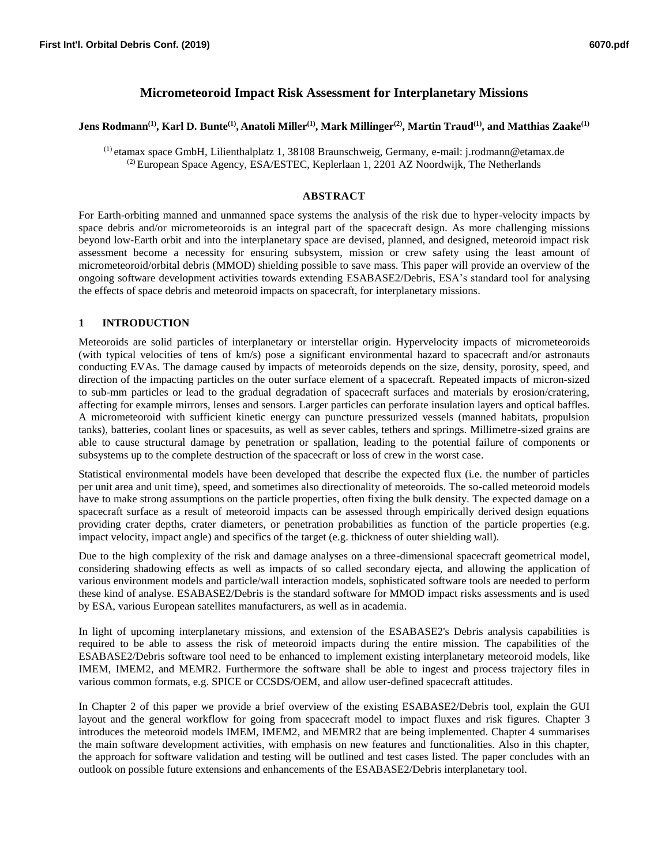# **Micrometeoroid Impact Risk Assessment for Interplanetary Missions**

#### **Jens Rodmann(1), Karl D. Bunte(1) , Anatoli Miller(1) , Mark Millinger(2), Martin Traud(1) , and Matthias Zaake(1)**

(1) etamax space GmbH, Lilienthalplatz 1, 38108 Braunschweig, Germany, e-mail: j.rodmann@etamax.de  $^{(2)}$  European Space Agency, ESA/ESTEC, Keplerlaan 1, 2201 AZ Noordwijk, The Netherlands

#### **ABSTRACT**

For Earth-orbiting manned and unmanned space systems the analysis of the risk due to hyper-velocity impacts by space debris and/or micrometeoroids is an integral part of the spacecraft design. As more challenging missions beyond low-Earth orbit and into the interplanetary space are devised, planned, and designed, meteoroid impact risk assessment become a necessity for ensuring subsystem, mission or crew safety using the least amount of micrometeoroid/orbital debris (MMOD) shielding possible to save mass. This paper will provide an overview of the ongoing software development activities towards extending ESABASE2/Debris, ESA's standard tool for analysing the effects of space debris and meteoroid impacts on spacecraft, for interplanetary missions.

### **1 INTRODUCTION**

Meteoroids are solid particles of interplanetary or interstellar origin. Hypervelocity impacts of micrometeoroids (with typical velocities of tens of km/s) pose a significant environmental hazard to spacecraft and/or astronauts conducting EVAs. The damage caused by impacts of meteoroids depends on the size, density, porosity, speed, and direction of the impacting particles on the outer surface element of a spacecraft. Repeated impacts of micron-sized to sub-mm particles or lead to the gradual degradation of spacecraft surfaces and materials by erosion/cratering, affecting for example mirrors, lenses and sensors. Larger particles can perforate insulation layers and optical baffles. A micrometeoroid with sufficient kinetic energy can puncture pressurized vessels (manned habitats, propulsion tanks), batteries, coolant lines or spacesuits, as well as sever cables, tethers and springs. Millimetre-sized grains are able to cause structural damage by penetration or spallation, leading to the potential failure of components or subsystems up to the complete destruction of the spacecraft or loss of crew in the worst case.

Statistical environmental models have been developed that describe the expected flux (i.e. the number of particles per unit area and unit time), speed, and sometimes also directionality of meteoroids. The so-called meteoroid models have to make strong assumptions on the particle properties, often fixing the bulk density. The expected damage on a spacecraft surface as a result of meteoroid impacts can be assessed through empirically derived design equations providing crater depths, crater diameters, or penetration probabilities as function of the particle properties (e.g. impact velocity, impact angle) and specifics of the target (e.g. thickness of outer shielding wall).

Due to the high complexity of the risk and damage analyses on a three-dimensional spacecraft geometrical model, considering shadowing effects as well as impacts of so called secondary ejecta, and allowing the application of various environment models and particle/wall interaction models, sophisticated software tools are needed to perform these kind of analyse. ESABASE2/Debris is the standard software for MMOD impact risks assessments and is used by ESA, various European satellites manufacturers, as well as in academia.

In light of upcoming interplanetary missions, and extension of the ESABASE2's Debris analysis capabilities is required to be able to assess the risk of meteoroid impacts during the entire mission. The capabilities of the ESABASE2/Debris software tool need to be enhanced to implement existing interplanetary meteoroid models, like IMEM, IMEM2, and MEMR2. Furthermore the software shall be able to ingest and process trajectory files in various common formats, e.g. SPICE or CCSDS/OEM, and allow user-defined spacecraft attitudes.

In Chapter 2 of this paper we provide a brief overview of the existing ESABASE2/Debris tool, explain the GUI layout and the general workflow for going from spacecraft model to impact fluxes and risk figures. Chapter 3 introduces the meteoroid models IMEM, IMEM2, and MEMR2 that are being implemented. Chapter 4 summarises the main software development activities, with emphasis on new features and functionalities. Also in this chapter, the approach for software validation and testing will be outlined and test cases listed. The paper concludes with an outlook on possible future extensions and enhancements of the ESABASE2/Debris interplanetary tool.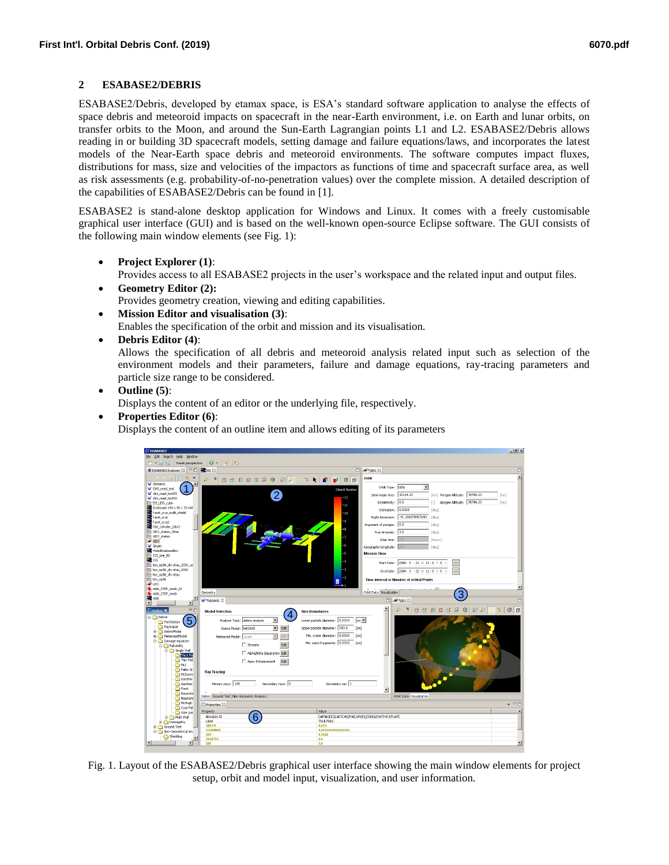### **2 ESABASE2/DEBRIS**

ESABASE2/Debris, developed by etamax space, is ESA's standard software application to analyse the effects of space debris and meteoroid impacts on spacecraft in the near-Earth environment, i.e. on Earth and lunar orbits, on transfer orbits to the Moon, and around the Sun-Earth Lagrangian points L1 and L2. ESABASE2/Debris allows reading in or building 3D spacecraft models, setting damage and failure equations/laws, and incorporates the latest models of the Near-Earth space debris and meteoroid environments. The software computes impact fluxes, distributions for mass, size and velocities of the impactors as functions of time and spacecraft surface area, as well as risk assessments (e.g. probability-of-no-penetration values) over the complete mission. A detailed description of the capabilities of ESABASE2/Debris can be found in [1].

ESABASE2 is stand-alone desktop application for Windows and Linux. It comes with a freely customisable graphical user interface (GUI) and is based on the well-known open-source Eclipse software. The GUI consists of the following main window elements (see Fig. 1):

**Project Explorer (1)**:

Provides access to all ESABASE2 projects in the user's workspace and the related input and output files.

- **Geometry Editor (2):** Provides geometry creation, viewing and editing capabilities.
- **Mission Editor and visualisation (3)**: Enables the specification of the orbit and mission and its visualisation.
- **Debris Editor (4)**:

Allows the specification of all debris and meteoroid analysis related input such as selection of the environment models and their parameters, failure and damage equations, ray-tracing parameters and particle size range to be considered.

**Outline (5)**:

Displays the content of an editor or the underlying file, respectively.

**Properties Editor (6)**:

Displays the content of an outline item and allows editing of its parameters



Fig. 1. Layout of the ESABASE2/Debris graphical user interface showing the main window elements for project setup, orbit and model input, visualization, and user information.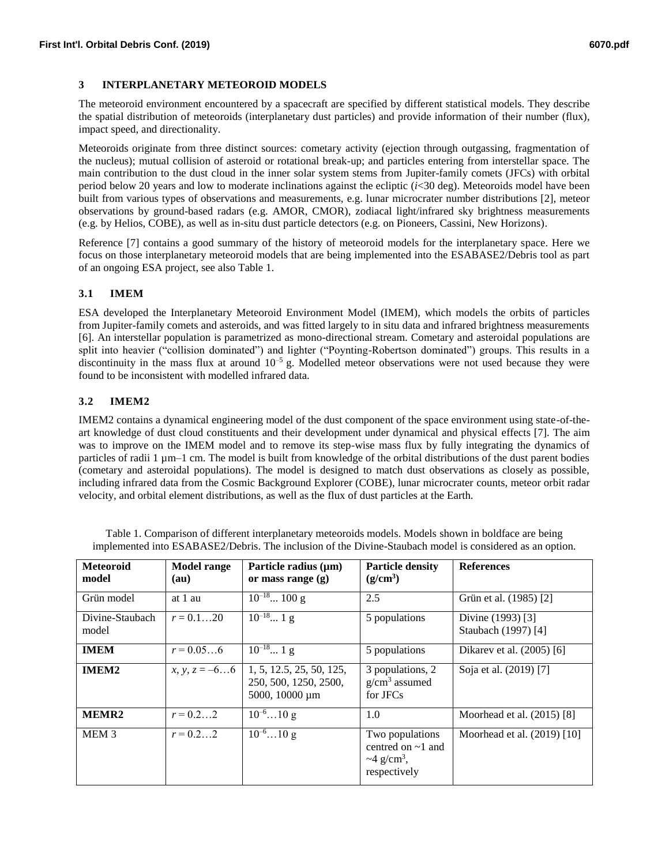### **3 INTERPLANETARY METEOROID MODELS**

The meteoroid environment encountered by a spacecraft are specified by different statistical models. They describe the spatial distribution of meteoroids (interplanetary dust particles) and provide information of their number (flux), impact speed, and directionality.

Meteoroids originate from three distinct sources: cometary activity (ejection through outgassing, fragmentation of the nucleus); mutual collision of asteroid or rotational break-up; and particles entering from interstellar space. The main contribution to the dust cloud in the inner solar system stems from Jupiter-family comets (JFCs) with orbital period below 20 years and low to moderate inclinations against the ecliptic  $(i<30$  deg). Meteoroids model have been built from various types of observations and measurements, e.g. lunar microcrater number distributions [2], meteor observations by ground-based radars (e.g. AMOR, CMOR), zodiacal light/infrared sky brightness measurements (e.g. by Helios, COBE), as well as in-situ dust particle detectors (e.g. on Pioneers, Cassini, New Horizons).

Reference [7] contains a good summary of the history of meteoroid models for the interplanetary space. Here we focus on those interplanetary meteoroid models that are being implemented into the ESABASE2/Debris tool as part of an ongoing ESA project, see also Table 1.

# **3.1 IMEM**

ESA developed the Interplanetary Meteoroid Environment Model (IMEM), which models the orbits of particles from Jupiter-family comets and asteroids, and was fitted largely to in situ data and infrared brightness measurements [6]. An interstellar population is parametrized as mono-directional stream. Cometary and asteroidal populations are split into heavier ("collision dominated") and lighter ("Poynting-Robertson dominated") groups. This results in a discontinuity in the mass flux at around  $10^{-5}$  g. Modelled meteor observations were not used because they were found to be inconsistent with modelled infrared data.

### **3.2 IMEM2**

IMEM2 contains a dynamical engineering model of the dust component of the space environment using state-of-theart knowledge of dust cloud constituents and their development under dynamical and physical effects [7]. The aim was to improve on the IMEM model and to remove its step-wise mass flux by fully integrating the dynamics of particles of radii 1 µm–1 cm. The model is built from knowledge of the orbital distributions of the dust parent bodies (cometary and asteroidal populations). The model is designed to match dust observations as closely as possible, including infrared data from the Cosmic Background Explorer (COBE), lunar microcrater counts, meteor orbit radar velocity, and orbital element distributions, as well as the flux of dust particles at the Earth.

| <b>Meteoroid</b><br>model | <b>Model range</b><br>(au)      | Particle radius $(\mu m)$<br>or mass range $(g)$                    | <b>Particle density</b><br>$(g/cm^3)$                                                      | <b>References</b>                        |
|---------------------------|---------------------------------|---------------------------------------------------------------------|--------------------------------------------------------------------------------------------|------------------------------------------|
| Grün model                | at 1 au                         | $10^{-18} 100$ g                                                    | 2.5                                                                                        | Grün et al. (1985) [2]                   |
| Divine-Staubach<br>model  | $r = 0.120$                     | $10^{-18} 1$ g                                                      | 5 populations                                                                              | Divine (1993) [3]<br>Staubach (1997) [4] |
| <b>IMEM</b>               | $r = 0.056$                     | $10^{-18} 1$ g                                                      | 5 populations                                                                              | Dikarev et al. (2005) [6]                |
| IMEM <sub>2</sub>         | <i>x</i> , <i>y</i> , $z = -66$ | 1, 5, 12.5, 25, 50, 125,<br>250, 500, 1250, 2500,<br>5000, 10000 µm | 3 populations, 2<br>$g/cm3$ assumed<br>for JFCs                                            | Soja et al. (2019) [7]                   |
| MEMR <sub>2</sub>         | $r = 0.22$                      | $10^{-6}10$ g                                                       | 1.0                                                                                        | Moorhead et al. (2015) [8]               |
| MEM <sub>3</sub>          | $r = 0.22$                      | $10^{-6}10$ g                                                       | Two populations<br>centred on $\sim$ 1 and<br>$\sim$ 4 g/cm <sup>3</sup> ,<br>respectively | Moorhead et al. (2019) [10]              |

Table 1. Comparison of different interplanetary meteoroids models. Models shown in boldface are being implemented into ESABASE2/Debris. The inclusion of the Divine-Staubach model is considered as an option.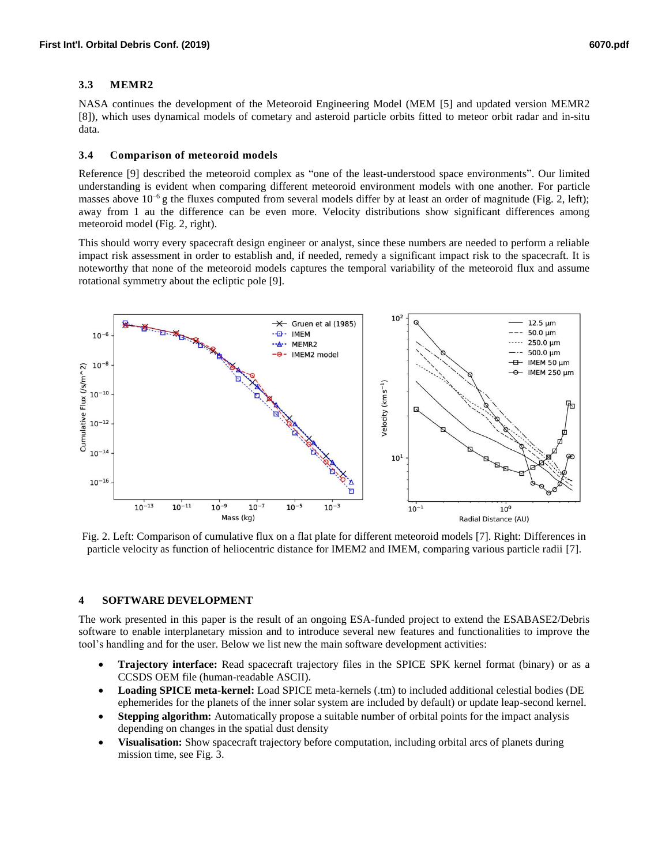# **3.3 MEMR2**

NASA continues the development of the Meteoroid Engineering Model (MEM [5] and updated version MEMR2 [8]), which uses dynamical models of cometary and asteroid particle orbits fitted to meteor orbit radar and in-situ data.

#### **3.4 Comparison of meteoroid models**

Reference [9] described the meteoroid complex as "one of the least-understood space environments". Our limited understanding is evident when comparing different meteoroid environment models with one another. For particle masses above  $10^{-6}$  g the fluxes computed from several models differ by at least an order of magnitude (Fig. 2, left); away from 1 au the difference can be even more. Velocity distributions show significant differences among meteoroid model (Fig. 2, right).

This should worry every spacecraft design engineer or analyst, since these numbers are needed to perform a reliable impact risk assessment in order to establish and, if needed, remedy a significant impact risk to the spacecraft. It is noteworthy that none of the meteoroid models captures the temporal variability of the meteoroid flux and assume rotational symmetry about the ecliptic pole [9].



Fig. 2. Left: Comparison of cumulative flux on a flat plate for different meteoroid models [7]. Right: Differences in particle velocity as function of heliocentric distance for IMEM2 and IMEM, comparing various particle radii [7].

# **4 SOFTWARE DEVELOPMENT**

The work presented in this paper is the result of an ongoing ESA-funded project to extend the ESABASE2/Debris software to enable interplanetary mission and to introduce several new features and functionalities to improve the tool's handling and for the user. Below we list new the main software development activities:

- **Trajectory interface:** Read spacecraft trajectory files in the SPICE SPK kernel format (binary) or as a CCSDS OEM file (human-readable ASCII).
- **Loading SPICE meta-kernel:** Load SPICE meta-kernels (.tm) to included additional celestial bodies (DE ephemerides for the planets of the inner solar system are included by default) or update leap-second kernel.
- **Stepping algorithm:** Automatically propose a suitable number of orbital points for the impact analysis depending on changes in the spatial dust density
- **Visualisation:** Show spacecraft trajectory before computation, including orbital arcs of planets during mission time, see Fig. 3.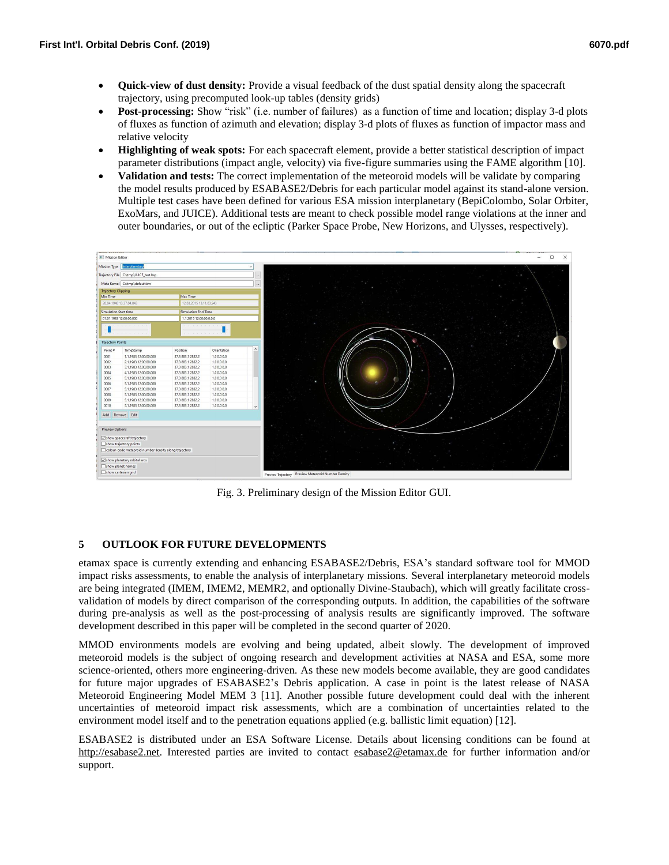- **Quick-view of dust density:** Provide a visual feedback of the dust spatial density along the spacecraft trajectory, using precomputed look-up tables (density grids)
- **Post-processing:** Show "risk" (i.e. number of failures) as a function of time and location; display 3-d plots of fluxes as function of azimuth and elevation; display 3-d plots of fluxes as function of impactor mass and relative velocity
- **Highlighting of weak spots:** For each spacecraft element, provide a better statistical description of impact parameter distributions (impact angle, velocity) via five-figure summaries using the FAME algorithm [10].
- **Validation and tests:** The correct implementation of the meteoroid models will be validate by comparing the model results produced by ESABASE2/Debris for each particular model against its stand-alone version. Multiple test cases have been defined for various ESA mission interplanetary (BepiColombo, Solar Orbiter, ExoMars, and JUICE). Additional tests are meant to check possible model range violations at the inner and outer boundaries, or out of the ecliptic (Parker Space Probe, New Horizons, and Ulysses, respectively).



Fig. 3. Preliminary design of the Mission Editor GUI.

# **5 OUTLOOK FOR FUTURE DEVELOPMENTS**

etamax space is currently extending and enhancing ESABASE2/Debris, ESA's standard software tool for MMOD impact risks assessments, to enable the analysis of interplanetary missions. Several interplanetary meteoroid models are being integrated (IMEM, IMEM2, MEMR2, and optionally Divine-Staubach), which will greatly facilitate crossvalidation of models by direct comparison of the corresponding outputs. In addition, the capabilities of the software during pre-analysis as well as the post-processing of analysis results are significantly improved. The software development described in this paper will be completed in the second quarter of 2020.

MMOD environments models are evolving and being updated, albeit slowly. The development of improved meteoroid models is the subject of ongoing research and development activities at NASA and ESA, some more science-oriented, others more engineering-driven. As these new models become available, they are good candidates for future major upgrades of ESABASE2's Debris application. A case in point is the latest release of NASA Meteoroid Engineering Model MEM 3 [11]. Another possible future development could deal with the inherent uncertainties of meteoroid impact risk assessments, which are a combination of uncertainties related to the environment model itself and to the penetration equations applied (e.g. ballistic limit equation) [12].

ESABASE2 is distributed under an ESA Software License. Details about licensing conditions can be found at [http://esabase2.net.](http://esabase2.net/) Interested parties are invited to contact [esabase2@etamax.de](mailto:esabase2@etamax.de) for further information and/or support.